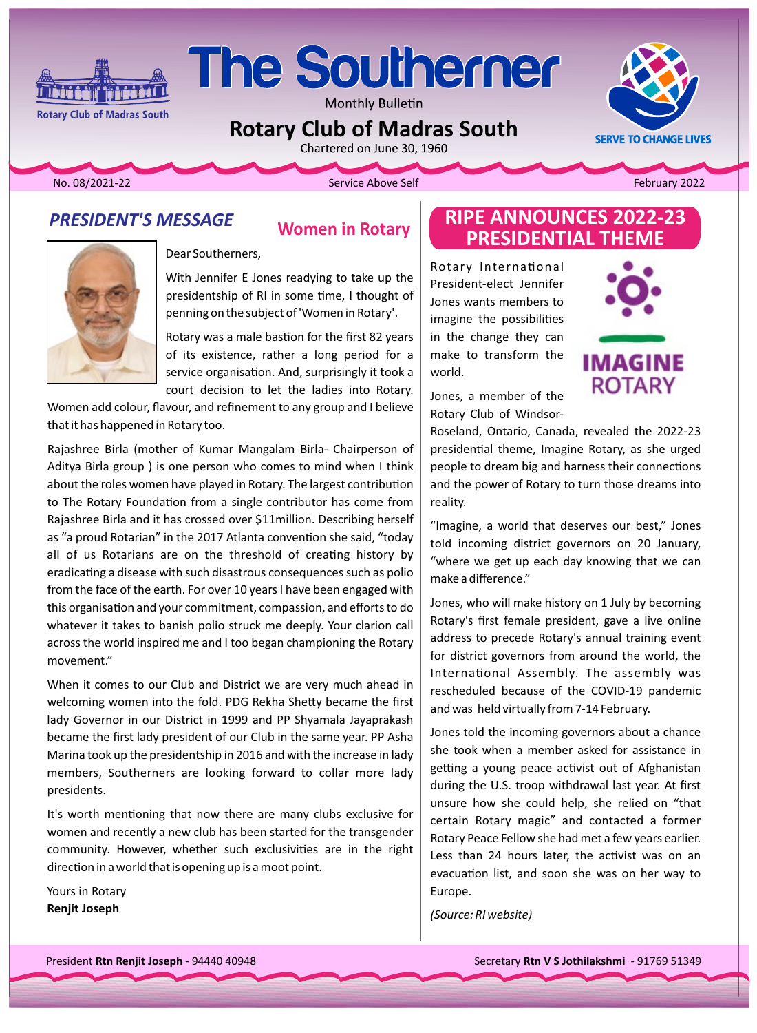

Monthly Bulletin

**Rotary Club of Madras South** 

Chartered on June 30, 1960



February 2022

No. 08/2021-22

**Rotary Club of Madras South** 

Service Above Self

#### **PRESIDENT'S MESSAGE**

**THE EXECUTIVE** 

## **Women in Rotary**



Dear Southerners,

With Jennifer E Jones readying to take up the presidentship of RI in some time, I thought of penning on the subject of 'Women in Rotary'.

Rotary was a male bastion for the first 82 years of its existence, rather a long period for a service organisation. And, surprisingly it took a court decision to let the ladies into Rotary.

Women add colour, flavour, and refinement to any group and I believe that it has happened in Rotary too.

Rajashree Birla (mother of Kumar Mangalam Birla- Chairperson of Aditya Birla group) is one person who comes to mind when I think about the roles women have played in Rotary. The largest contribution to The Rotary Foundation from a single contributor has come from Rajashree Birla and it has crossed over \$11 million. Describing herself as "a proud Rotarian" in the 2017 Atlanta convention she said, "today all of us Rotarians are on the threshold of creating history by eradicating a disease with such disastrous consequences such as polio from the face of the earth. For over 10 years I have been engaged with this organisation and your commitment, compassion, and efforts to do whatever it takes to banish polio struck me deeply. Your clarion call across the world inspired me and I too began championing the Rotary movement."

When it comes to our Club and District we are very much ahead in welcoming women into the fold. PDG Rekha Shetty became the first lady Governor in our District in 1999 and PP Shyamala Jayaprakash became the first lady president of our Club in the same year. PP Asha Marina took up the presidentship in 2016 and with the increase in lady members, Southerners are looking forward to collar more lady presidents.

It's worth mentioning that now there are many clubs exclusive for women and recently a new club has been started for the transgender community. However, whether such exclusivities are in the right direction in a world that is opening up is a moot point.

Yours in Rotary **Renjit Joseph** 

## **RIPE ANNOUNCES 2022-23 PRESIDENTIAL THEME**

Rotary International President-elect Jennifer Jones wants members to imagine the possibilities in the change they can make to transform the world.



Jones, a member of the Rotary Club of Windsor-

Roseland, Ontario, Canada, revealed the 2022-23 presidential theme, Imagine Rotary, as she urged people to dream big and harness their connections and the power of Rotary to turn those dreams into reality.

"Imagine, a world that deserves our best," Jones told incoming district governors on 20 January, "where we get up each day knowing that we can make a difference."

Jones, who will make history on 1 July by becoming Rotary's first female president, gave a live online address to precede Rotary's annual training event for district governors from around the world, the International Assembly. The assembly was rescheduled because of the COVID-19 pandemic and was held virtually from 7-14 February.

Jones told the incoming governors about a chance she took when a member asked for assistance in getting a young peace activist out of Afghanistan during the U.S. troop withdrawal last year. At first unsure how she could help, she relied on "that certain Rotary magic" and contacted a former Rotary Peace Fellow she had met a few years earlier. Less than 24 hours later, the activist was on an evacuation list, and soon she was on her way to Europe.

(Source: RI website)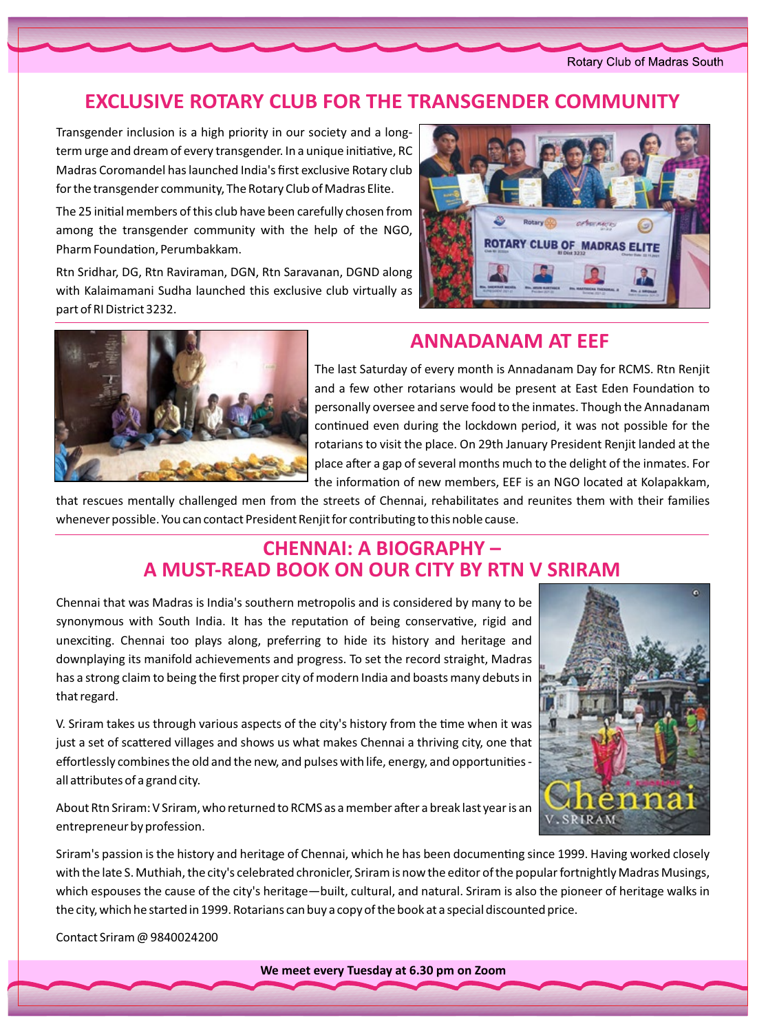Rotary Club of Madras South

## **EXCLUSIVE ROTARY CLUB FOR THE TRANSGENDER COMMUNITY**

term urge and dream of every transgender. In a unique initiative, RC Transgender inclusion is a high priority in our society and a long-Madras Coromandel has launched India's first exclusive Rotary club for the transgender community, The Rotary Club of Madras Elite.

The 25 initial members of this club have been carefully chosen from among the transgender community with the help of the NGO, Pharm Foundation, Perumbakkam.

Rtn Sridhar, DG, Rtn Raviraman, DGN, Rtn Saravanan, DGND along with Kalaimamani Sudha launched this exclusive club virtually as part of RI District 3232.





### **ANNADANAM AT EEF**

The last Saturday of every month is Annadanam Day for RCMS. Rtn Renjit and a few other rotarians would be present at East Eden Foundation to personally oversee and serve food to the inmates. Though the Annadanam continued even during the lockdown period, it was not possible for the rotarians to visit the place. On 29th January President Renjit landed at the place after a gap of several months much to the delight of the inmates. For the information of new members, EEF is an NGO located at Kolapakkam,

that rescues mentally challenged men from the streets of Chennai, rehabilitates and reunites them with their families whenever possible. You can contact President Renjit for contributing to this noble cause.

### **CHENNAI: A BIOGRAPHY -A MUST-READ BOOK ON OUR CITY BY RTN V SRIRAM**

Chennai that was Madras is India's southern metropolis and is considered by many to be synonymous with South India. It has the reputation of being conservative, rigid and unexciting. Chennai too plays along, preferring to hide its history and heritage and downplaying its manifold achievements and progress. To set the record straight, Madras has a strong claim to being the first proper city of modern India and boasts many debuts in that regard.

V. Sriram takes us through various aspects of the city's history from the time when it was just a set of scattered villages and shows us what makes Chennai a thriving city, one that effortlessly combines the old and the new, and pulses with life, energy, and opportunities all attributes of a grand city.

About Rtn Sriram: V Sriram, who returned to RCMS as a member after a break last year is an entrepreneur by profession.



Sriram's passion is the history and heritage of Chennai, which he has been documenting since 1999. Having worked closely with the late S. Muthiah, the city's celebrated chronicler, Sriram is now the editor of the popular fortnightly Madras Musings, which espouses the cause of the city's heritage—built, cultural, and natural. Sriram is also the pioneer of heritage walks in the city, which he started in 1999. Rotarians can buy a copy of the book at a special discounted price.

Contact Sriram @ 9840024200

**We meet every Tuesday at 6.30 pm on Zoom**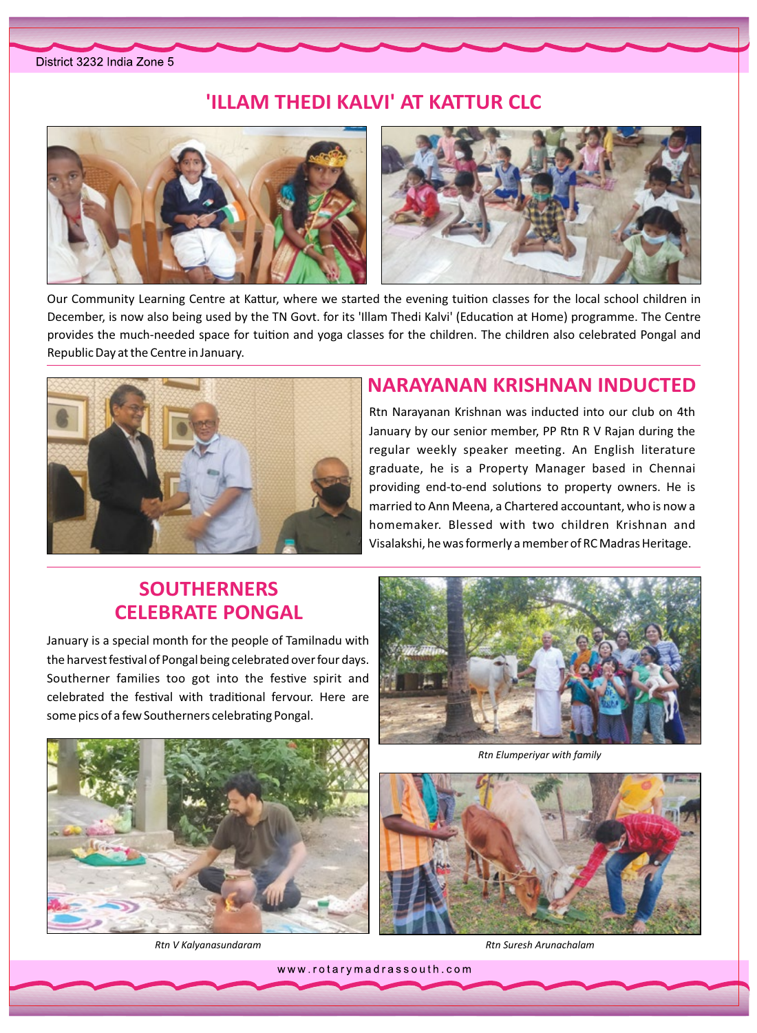#### **'ILLAM THEDI KALVI' AT KATTUR CLC**



Our Community Learning Centre at Kattur, where we started the evening tuition classes for the local school children in December, is now also being used by the TN Govt. for its 'Illam Thedi Kalvi' (Education at Home) programme. The Centre provides the much-needed space for tuition and yoga classes for the children. The children also celebrated Pongal and Republic Day at the Centre in January.



#### **NARAYANAN KRISHNAN INDUCTED**

Rtn Narayanan Krishnan was inducted into our club on 4th January by our senior member, PP Rtn R V Rajan during the regular weekly speaker meeting. An English literature graduate, he is a Property Manager based in Chennai providing end-to-end solutions to property owners. He is married to Ann Meena, a Chartered accountant, who is now a homemaker. Blessed with two children Krishnan and Visalakshi, he was formerly a member of RC Madras Heritage.

# **SOUTHERNERS CELEBRATE PONGAL**

January is a special month for the people of Tamilnadu with the harvest festival of Pongal being celebrated over four days. Southerner families too got into the festive spirit and celebrated the festival with traditional fervour. Here are some pics of a few Southerners celebrating Pongal.







 *Kalyanasundaram V Rtn*



*Arunachalam Suresh Rtn*

www.rotarymadrassouth.com